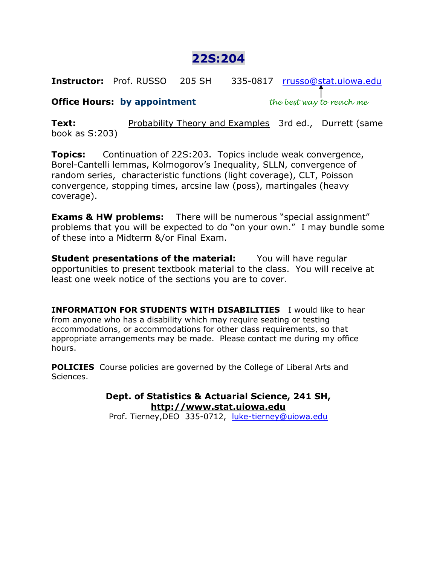# **22S:204**

**Instructor:** Prof. RUSSO 205 SH 335-0817 [rrusso@stat.uiowa.edu](mailto:rrusso@stat.uiowa.edu)

# **Office Hours: by appointment** *the best way to reach me*

**Text:** Probability Theory and Examples 3rd ed., Durrett (same book as S:203)

**Topics:** Continuation of 22S:203. Topics include weak convergence, Borel-Cantelli lemmas, Kolmogorov's Inequality, SLLN, convergence of random series, characteristic functions (light coverage), CLT, Poisson convergence, stopping times, arcsine law (poss), martingales (heavy coverage).

**Exams & HW problems:** There will be numerous "special assignment" problems that you will be expected to do "on your own." I may bundle some of these into a Midterm &/or Final Exam.

**Student presentations of the material:** You will have regular opportunities to present textbook material to the class. You will receive at least one week notice of the sections you are to cover.

**INFORMATION FOR STUDENTS WITH DISABILITIES** I would like to hear from anyone who has a disability which may require seating or testing accommodations, or accommodations for other class requirements, so that appropriate arrangements may be made. Please contact me during my office hours.

**POLICIES** Course policies are governed by the College of Liberal Arts and Sciences.

> **Dept. of Statistics & Actuarial Science, 241 SH, http://www.stat.uiowa.edu**

Prof. Tierney,DEO 335-0712, [luke-tierney@uiowa.edu](mailto:luke-tierney@uiowa.edu)